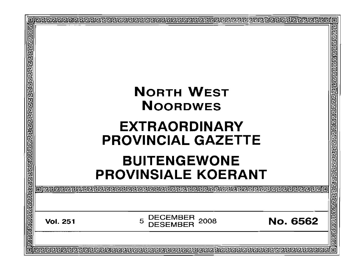|  | <b>BUITENGEWONE</b>                                                                   |                                        |  |  |  |
|--|---------------------------------------------------------------------------------------|----------------------------------------|--|--|--|
|  | <b>PROVINSIALE KOERANT</b>                                                            |                                        |  |  |  |
|  | o   elecebele elecebele elecebele elecebele elecebele elecebele elecebel              | <u> गुवरागवाचाचाचाचाचाचाचाचाचाचाचा</u> |  |  |  |
|  | <b>DECEMBER</b><br>2008<br><b>No. 6562</b><br>5<br><b>Vol. 251</b><br><b>DESEMBER</b> |                                        |  |  |  |
|  |                                                                                       |                                        |  |  |  |
|  |                                                                                       |                                        |  |  |  |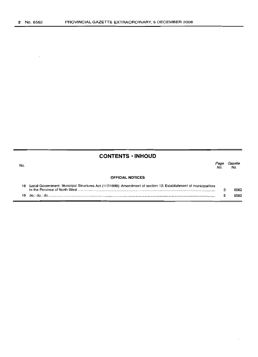# **CONTENTS • INHOUD**

| No. |                                                                                                                                                  | Page<br>No | Gazette<br>No. |
|-----|--------------------------------------------------------------------------------------------------------------------------------------------------|------------|----------------|
|     | <b>OFFICIAL NOTICES</b>                                                                                                                          |            |                |
| 18  | Local Government: Municipal Structures Act (117/1998): Amendment of section 12: Establishment of municipalities<br>in the Province of North West |            | 6562           |

5

6562

19 do.: do.: do .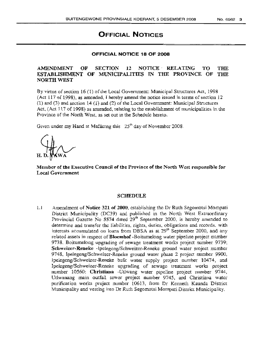# **OFFICIAL NOTICES**

### **OFFICIAL NOTICE 18 OF 2008**

### Al.\1ENDMENT OF SECTION 12 NOTICE' RELATING TO THE ESTABLISHMENT OF MUNICIPALITIES IN THE PROVINCE OF THE **NORTH WEST**

By virtue of section  $16$  (1) of the Local Government: Municipal Structures Act, 1998 (Act  $117$  of 1998), as amended, I hereby amend the notice issued in terms of section  $12$ (1) and (3) and section 14 (1) and (2) of the Local Government: Municipal Structures Act, (Act 11.7 of 1998) as amended, relating to the establishment of municipalities in the Province of the North West, as set out in the Schedule hereto.

Given under my Hand at Mafikcng this  $25<sup>th</sup>$  day of November 2008.

Member of the Executive Council of the Province of the North West responsible for Local Government

#### SCHEDULE

1.1 Amendment of Notice 321 of 2000, establishing the Dr Ruth Segornotsi Mornpati District Municipality (DC39) and published in the North West Extraordinary Provincial Gazette No  $5574$  dated  $29<sup>th</sup>$  September 2000, is hereby amended to determine and transfer the liabilities, rights, duties, obligations and records, with interests accumulated on loans from DBSA as at  $29<sup>th</sup>$  September 2000, and any related assets in respect of Bloemhof -Boitumelong water pipeline project number 9738, Boitumelong upgrading of sewage treatment works project number 9739; Schweizer-Reneke -Ipelegeng/Schweizer-Reneke ground water project number 9748, Ipelegeng/Schweizer-Reneke ground water phase 2 project number 9900, lpelegeng/Schweizer-Reneke bulle water supply project number 10474, and Ipelegeng/Schweizer-Reneke upgrading of sewage treatment works project number 10560; Christiana -Utlwang water pipeline project number 9744, Utlwanang main outfall sewer project number 9745, and Christiana water purification works project number 10613, from Dr Kenneth Kaunda District Municipality and vesting into Dr Ruth Segornotsi Mornpati District Municipality.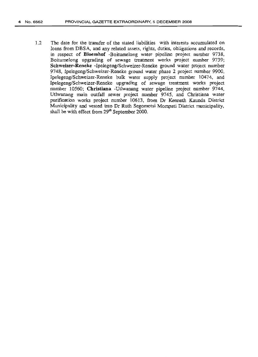1.2 The date for the transfer of the stated liabilities with interests accumulated on loans from DBSA, and any related assets, rights, duties, obligations and records, in respect of **Bloemhof** -Boitumelong water pipeline project number 9738, Boitumelong upgrading of sewage treatment works project number 9739; Schweizer-Reneke -Ipelegeng/Schweizer-Reneke ground water project number 9748, Ipelegeng/Schweizer-Reneke ground water phase 2 project number 9900, Ipelegeng/Schweizer-Reneke bulk water supply project number 10474, and Ipelegeng/Schweizer-Reneke upgrading of sewage treatment works project number 10560; **Christiana** -Utlwanang water pipeline project number 9744, Utlwanang main outfall sewer project number 9745, and Christiana water purification works project number 10613, from Dr Kenneth Kaunda District Municipality and vested into Dr Ruth Segomotsi Mompati District municipality, shall be with effect from  $29<sup>th</sup>$  September 2000.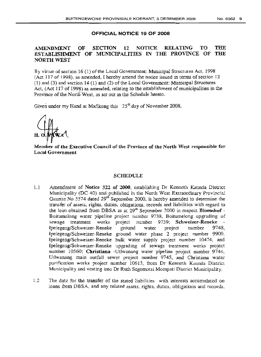#### OFFICIAL NOTICE 19 OF 2008

## AMENDMENT OF SECTION 12 NOTICE RELATING TO THE ESTABLISHMENT OF MUNICIPALITIES IN THE PROVINCE OF THE NORTH WEST

By virtue of section 16 (1) of the Local Government: Municipal Structures Act, 1998  $(Act 117 of 1998)$ , as amended, I hereby amend the notice issued in terms of section 12 (1) and (3) and section 14 (1) and (2) of the Local Government: Municipal Structures Act, (Act 117 of 1998) as amended, relating to the establishment of municipalities in the Province of the North West, as set out in the Schedule hereto.

Given under my Hand at Mafikeng this  $25<sup>th</sup>$  day of November 2008.

Member of the Executive Council of the Province of the North West responsible for Local Government

#### SCHEDULE

- 1.1 Amendment of Notice 322 of 2000, establishing Dr Kenneth Kaunda District Municipality (DC 40) and published in the North West Extraordinary Provincial Gazette No  $5574$  dated  $29<sup>th</sup>$  September 2000, is hereby amended to determine the transfer of assets, rights, duties, obligations, records and liabilities with regard to the loan obtained from DBSA as at  $29<sup>th</sup>$  September 2000 in respect Bloemhof -Boitumelong water pipeline project number 9738, Boitumelong upgrading of sewage treatment works project number 9739; Schweizer-Reneke Ipelegeng/Schweizer-Reneke ground water project number 9748, Ipelcgeng/Schweizer-Reneke ground water phase 2 project number 9900, Ipelegeng/Schweizer-Reneke bulk water supply project number 10474, and Ipelegeng/Schweizer-Reneke upgrading of sewage treatment works project number 10560; Christiana -Utlwanang water pipeline project number 9744, Utlwanang main outfall sewer project number 9745, and Christiana water purification works project number 10613, from Dr Kenneth Kaunda District Municipality and vesting into Dr Ruth Segomotsi Mompati District Municipality,
- 1.2 The date for the transfer of the stated liabilities with interests accumulated on loans from DBSA, and any related assets, rights, duties, obligations and records,